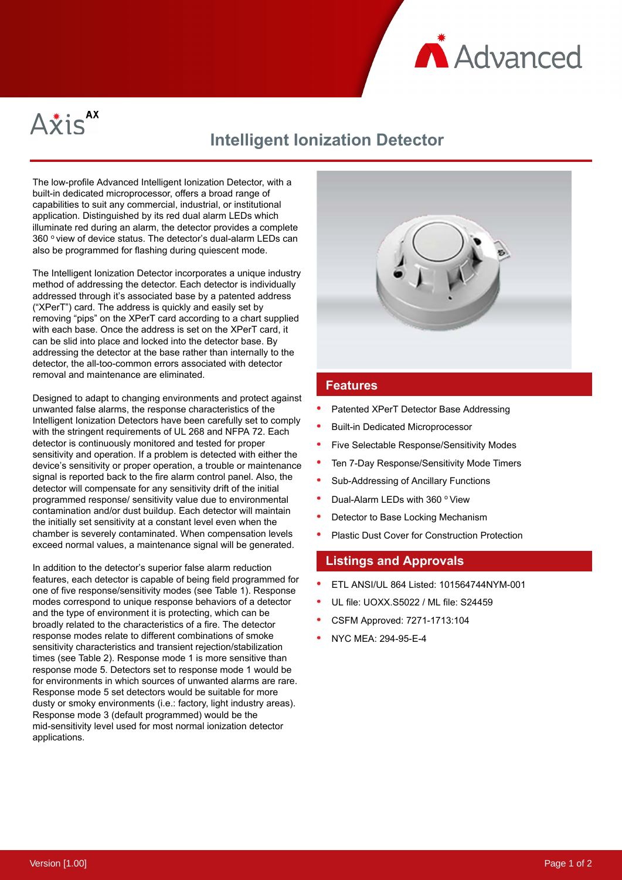



# **Intelligent Ionization Detector**

The low-profile Advanced Intelligent Ionization Detector, with a built-in dedicated microprocessor, offers a broad range of capabilities to suit any commercial, industrial, or institutional application. Distinguished by its red dual alarm LEDs which illuminate red during an alarm, the detector provides a complete 360 ° view of device status. The detector's dual-alarm LEDs can also be programmed for flashing during quiescent mode.

The Intelligent Ionization Detector incorporates a unique industry method of addressing the detector. Each detector is individually addressed through it's associated base by a patented address ("XPerT") card. The address is quickly and easily set by removing "pips" on the XPerT card according to a chart supplied with each base. Once the address is set on the XPerT card, it can be slid into place and locked into the detector base. By addressing the detector at the base rather than internally to the detector, the all-too-common errors associated with detector removal and maintenance are eliminated.

Designed to adapt to changing environments and protect against unwanted false alarms, the response characteristics of the Intelligent Ionization Detectors have been carefully set to comply with the stringent requirements of UL 268 and NFPA 72. Each detector is continuously monitored and tested for proper sensitivity and operation. If a problem is detected with either the device's sensitivity or proper operation, a trouble or maintenance signal is reported back to the fire alarm control panel. Also, the detector will compensate for any sensitivity drift of the initial programmed response/ sensitivity value due to environmental contamination and/or dust buildup. Each detector will maintain the initially set sensitivity at a constant level even when the chamber is severely contaminated. When compensation levels exceed normal values, a maintenance signal will be generated.

In addition to the detector's superior false alarm reduction features, each detector is capable of being field programmed for one of five response/sensitivity modes (see Table 1). Response modes correspond to unique response behaviors of a detector and the type of environment it is protecting, which can be broadly related to the characteristics of a fire. The detector response modes relate to different combinations of smoke sensitivity characteristics and transient rejection/stabilization times (see Table 2). Response mode 1 is more sensitive than response mode 5. Detectors set to response mode 1 would be for environments in which sources of unwanted alarms are rare. Response mode 5 set detectors would be suitable for more dusty or smoky environments (i.e.: factory, light industry areas). Response mode 3 (default programmed) would be the mid-sensitivity level used for most normal ionization detector applications.



### **Features**

- Patented XPerT Detector Base Addressing
- Built-in Dedicated Microprocessor
- Five Selectable Response/Sensitivity Modes
- Ten 7-Day Response/Sensitivity Mode Timers
- Sub-Addressing of Ancillary Functions
- Dual-Alarm LEDs with 360 ° View
- Detector to Base Locking Mechanism
- Plastic Dust Cover for Construction Protection

# **Listings and Approvals**

- ETL ANSI/UL 864 Listed: 101564744NYM-001
- UL file: UOXX.S5022 / ML file: S24459
- CSFM Approved: 7271-1713:104
- NYC MEA: 294-95-E-4